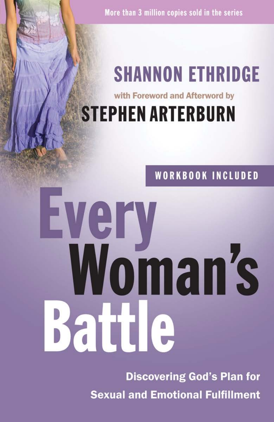More than 3 million copies sold in the series

## **SHANNON ETHRIDGE**

with Foreword and Afterword by **STEPHEN ARTERBURN** 

**WORKBOOK INCLUDED** 

## Every Woman's **Battle**

**Discovering God's Plan for Sexual and Emotional Fulfillment**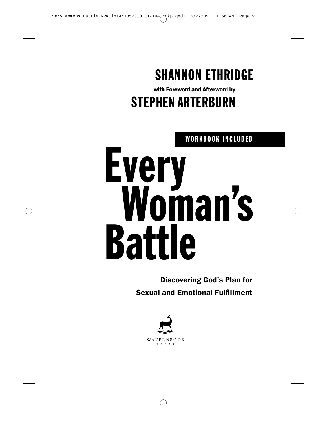## SHANNON ETHRIDGE

with Foreword and Afterword by

### STEPHEN ARTERBURN

#### WORKBOOK INCLUDED

# Every Woman's Battle

Discovering God's Plan for Sexual and Emotional Fulfillment

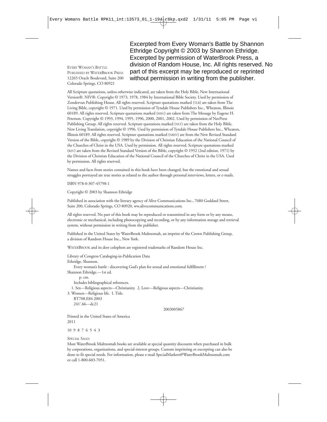EVERY WOMAN'S BATTLE PUBLISHED BY WATERBROOK PRESS 12265 Oracle Boulevard, Suite 200 Colorado Springs, CO 80921

Excerpted from Every Woman's Battle by Shannon Ethridge Copyright © 2003 by Shannon Ethridge. Excerpted by permission of WaterBrook Press, a division of Random House, Inc. All rights reserved. No part of this excerpt may be reproduced or reprinted without permission in writing from the publisher.

All Scripture quotations, unless otherwise indicated, are taken from the Holy Bible, New International Version®. NIV®. Copyright © 1973, 1978, 1984 by International Bible Society. Used by permission of Zondervan Publishing House. All rights reserved. Scripture quotations marked (TLB) are taken from The Living Bible, copyright © 1971. Used by permission of Tyndale House Publishers Inc., Wheaton, Illinois 60189. All rights reserved. Scripture quotations marked (MSG) are taken from The Message by Eugene H. Peterson. Copyright © 1993, 1994, 1995, 1996, 2000, 2001, 2002. Used by permission of NavPress Publishing Group. All rights reserved. Scripture quotations marked (NLT) are taken from the Holy Bible, New Living Translation, copyright © 1996. Used by permission of Tyndale House Publishers Inc., Wheaton, Illinois 60189. All rights reserved. Scripture quotations marked (NRSV) are from the New Revised Standard Version of the Bible, copyright © 1989 by the Division of Christian Education of the National Council of the Churches of Christ in the USA. Used by permission. All rights reserved. Scripture quotations marked (RSV) are taken from the Revised Standard Version of the Bible, copyright © 1952 (2nd edition, 1971) by the Division of Christian Education of the National Council of the Churches of Christ in the USA. Used by permission. All rights reserved.

Names and facts from stories contained in this book have been changed, but the emotional and sexual struggles portrayed are true stories as related to the author through personal interviews, letters, or e-mails.

ISBN 978-0-307-45798-1

Copyright © 2003 by Shannon Ethridge

Published in association with the literary agency of Alive Communications Inc., 7680 Goddard Street, Suite 200, Colorado Springs, CO 80920, ww.alivecommunications.com.

All rights reserved. No part of this book may be reproduced or transmitted in any form or by any means, electronic or mechanical, including photocopying and recording, or by any information storage and retrieval system, without permission in writing from the publisher.

Published in the United States by WaterBrook Multnomah, an imprint of the Crown Publishing Group, a division of Random House Inc., New York.

WATERBROOK and its deer colophon are registered trademarks of Random House Inc.

Library of Congress Cataloging-in-Publication Data

Ethridge, Shannon.

Every woman's battle : discovering God's plan for sexual and emotional fulfillment / Shannon Ethridge.—1st ed.

p. cm. Includes bibliographical references. 1. Sex—Religious aspects—Christianity. 2. Love—Religious aspects—Christianity. 3. Women—Religious life. I. Title. BT708.E84 2003 241'.66—dc21

2003005867

Printed in the United States of America 2011

10 9 8 7 6 5 4 3

SPECIAL SALES

Most WaterBrook Multnomah books are available at special quantity discounts when purchased in bulk by corporations, organizations, and special-interest groups. Custom imprinting or excerpting can also be done to fit special needs. For information, please e-mail SpecialMarkets@WaterBrookMultnomah.com or call 1-800-603-7051.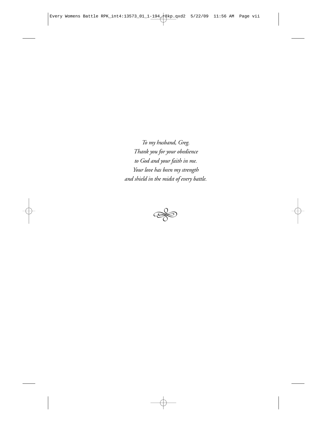*To my husband, Greg. Thank you for your obedience to God and your faith in me. Your love has been my strength and shield in the midst of every battle.*

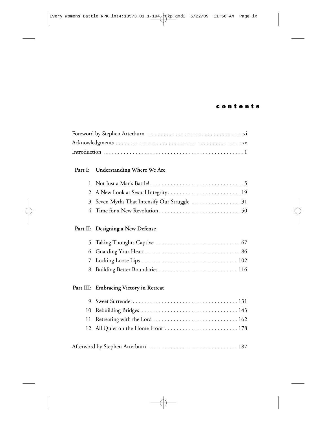#### contents

#### **Part I: Understanding Where We Are**

#### **Part II: Designing a New Defense**

#### **Part III: Embracing Victory in Retreat**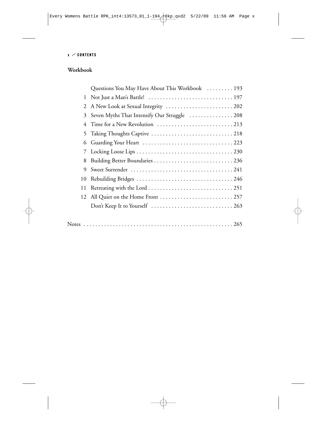#### $x <$  CONTENTS

#### **Workbook**

|    | Questions You May Have About This Workbook  193 |
|----|-------------------------------------------------|
| 1  |                                                 |
| 2  | A New Look at Sexual Integrity  202             |
| 3  | Seven Myths That Intensify Our Struggle  208    |
|    |                                                 |
|    |                                                 |
| 6  |                                                 |
| 7  |                                                 |
|    |                                                 |
| 9  |                                                 |
| 10 |                                                 |
| 11 |                                                 |
|    |                                                 |
|    |                                                 |
|    |                                                 |
|    |                                                 |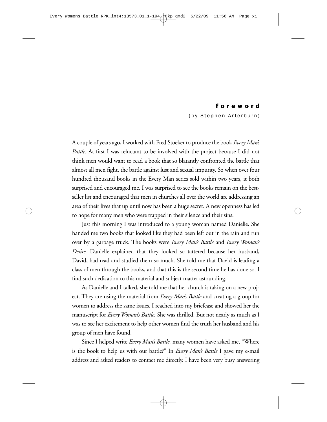#### foreword

(by Stephen Arterburn)

A couple of years ago, I worked with Fred Stoeker to produce the book *Every Man's Battle.* At first I was reluctant to be involved with the project because I did not think men would want to read a book that so blatantly confronted the battle that almost all men fight, the battle against lust and sexual impurity. So when over four hundred thousand books in the Every Man series sold within two years, it both surprised and encouraged me. I was surprised to see the books remain on the bestseller list and encouraged that men in churches all over the world are addressing an area of their lives that up until now has been a huge secret. A new openness has led to hope for many men who were trapped in their silence and their sins.

Just this morning I was introduced to a young woman named Danielle. She handed me two books that looked like they had been left out in the rain and run over by a garbage truck. The books were *Every Man's Battle* and *Every Woman's Desire.* Danielle explained that they looked so tattered because her husband, David, had read and studied them so much. She told me that David is leading a class of men through the books, and that this is the second time he has done so. I find such dedication to this material and subject matter astounding.

As Danielle and I talked, she told me that her church is taking on a new project. They are using the material from *Every Man's Battle* and creating a group for women to address the same issues. I reached into my briefcase and showed her the manuscript for *Every Woman's Battle.* She was thrilled. But not nearly as much as I was to see her excitement to help other women find the truth her husband and his group of men have found.

Since I helped write *Every Man's Battle,* many women have asked me, "Where is the book to help us with our battle?" In *Every Man's Battle* I gave my e-mail address and asked readers to contact me directly. I have been very busy answering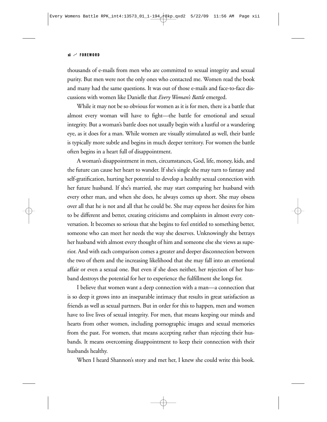#### xii FOREWORD

thousands of e-mails from men who are committed to sexual integrity and sexual purity. But men were not the only ones who contacted me. Women read the book and many had the same questions. It was out of those e-mails and face-to-face discussions with women like Danielle that *Every Woman's Battle* emerged.

While it may not be so obvious for women as it is for men, there is a battle that almost every woman will have to fight—the battle for emotional and sexual integrity. But a woman's battle does not usually begin with a lustful or a wandering eye, as it does for a man. While women are visually stimulated as well, their battle is typically more subtle and begins in much deeper territory. For women the battle often begins in a heart full of disappointment.

A woman's disappointment in men, circumstances, God, life, money, kids, and the future can cause her heart to wander. If she's single she may turn to fantasy and self-gratification, hurting her potential to develop a healthy sexual connection with her future husband. If she's married, she may start comparing her husband with every other man, and when she does, he always comes up short. She may obsess over all that he is not and all that he could be. She may express her desires for him to be different and better, creating criticisms and complaints in almost every conversation. It becomes so serious that she begins to feel entitled to something better, someone who can meet her needs the way she deserves. Unknowingly she betrays her husband with almost every thought of him and someone else she views as superior. And with each comparison comes a greater and deeper disconnection between the two of them and the increasing likelihood that she may fall into an emotional affair or even a sexual one. But even if she does neither, her rejection of her husband destroys the potential for her to experience the fulfillment she longs for.

I believe that women want a deep connection with a man—a connection that is so deep it grows into an inseparable intimacy that results in great satisfaction as friends as well as sexual partners. But in order for this to happen, men and women have to live lives of sexual integrity. For men, that means keeping our minds and hearts from other women, including pornographic images and sexual memories from the past. For women, that means accepting rather than rejecting their husbands. It means overcoming disappointment to keep their connection with their husbands healthy.

When I heard Shannon's story and met her, I knew she could write this book.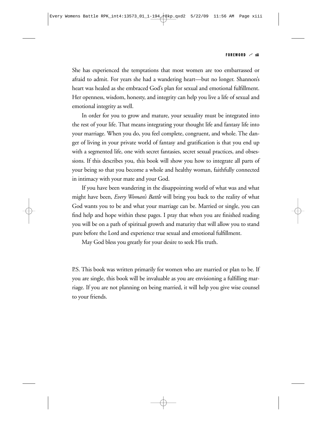She has experienced the temptations that most women are too embarrassed or afraid to admit. For years she had a wandering heart—but no longer. Shannon's heart was healed as she embraced God's plan for sexual and emotional fulfillment. Her openness, wisdom, honesty, and integrity can help you live a life of sexual and emotional integrity as well.

In order for you to grow and mature, your sexuality must be integrated into the rest of your life. That means integrating your thought life and fantasy life into your marriage. When you do, you feel complete, congruent, and whole. The danger of living in your private world of fantasy and gratification is that you end up with a segmented life, one with secret fantasies, secret sexual practices, and obsessions. If this describes you, this book will show you how to integrate all parts of your being so that you become a whole and healthy woman, faithfully connected in intimacy with your mate and your God.

If you have been wandering in the disappointing world of what was and what might have been, *Every Woman's Battle* will bring you back to the reality of what God wants you to be and what your marriage can be. Married or single, you can find help and hope within these pages. I pray that when you are finished reading you will be on a path of spiritual growth and maturity that will allow you to stand pure before the Lord and experience true sexual and emotional fulfillment.

May God bless you greatly for your desire to seek His truth.

P.S. This book was written primarily for women who are married or plan to be. If you are single, this book will be invaluable as you are envisioning a fulfilling marriage. If you are not planning on being married, it will help you give wise counsel to your friends.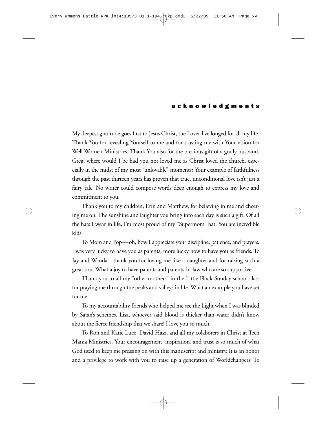#### acknowledgments

My deepest gratitude goes first to Jesus Christ, the Lover I've longed for all my life. Thank You for revealing Yourself to me and for trusting me with Your vision for Well Women Ministries. Thank You also for the precious gift of a godly husband. Greg, where would I be had you not loved me as Christ loved the church, especially in the midst of my most "unlovable" moments? Your example of faithfulness through the past thirteen years has proven that true, unconditional love isn't just a fairy tale. No writer could compose words deep enough to express my love and commitment to you.

Thank you to my children, Erin and Matthew, for believing in me and cheering me on. The sunshine and laughter you bring into each day is such a gift. Of all the hats I wear in life, I'm most proud of my "Supermom" hat. You are incredible kids!

To Mom and Pop—oh, how I appreciate your discipline, patience, and prayers. I was very lucky to have you as parents, more lucky now to have you as friends. To Jay and Wanda—thank you for loving me like a daughter and for raising such a great son. What a joy to have parents and parents-in-law who are so supportive.

Thank you to all my "other mothers" in the Little Flock Sunday-school class for praying me through the peaks and valleys in life. What an example you have set for me.

To my accountability friends who helped me see the Light when I was blinded by Satan's schemes. Lisa, whoever said blood is thicker than water didn't know about the fierce friendship that we share! I love you so much.

To Ron and Katie Luce, David Hasz, and all my colaborers in Christ at Teen Mania Ministries. Your encouragement, inspiration, and trust is so much of what God used to keep me pressing on with this manuscript and ministry. It is an honor and a privilege to work with you to raise up a generation of Worldchangers! To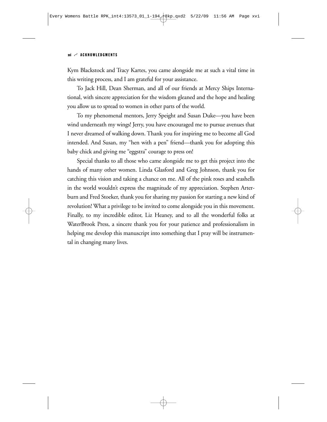#### xvi  $\sim$  ACKNOWLEDGMENTS

Kym Blackstock and Tracy Kartes, you came alongside me at such a vital time in this writing process, and I am grateful for your assistance.

To Jack Hill, Dean Sherman, and all of our friends at Mercy Ships International, with sincere appreciation for the wisdom gleaned and the hope and healing you allow us to spread to women in other parts of the world.

To my phenomenal mentors, Jerry Speight and Susan Duke—you have been wind underneath my wings! Jerry, you have encouraged me to pursue avenues that I never dreamed of walking down. Thank you for inspiring me to become all God intended. And Susan, my "hen with a pen" friend—thank you for adopting this baby chick and giving me "eggstra" courage to press on!

Special thanks to all those who came alongside me to get this project into the hands of many other women. Linda Glasford and Greg Johnson, thank you for catching this vision and taking a chance on me. All of the pink roses and seashells in the world wouldn't express the magnitude of my appreciation. Stephen Arterburn and Fred Stoeker, thank you for sharing my passion for starting a new kind of revolution! What a privilege to be invited to come alongside you in this movement. Finally, to my incredible editor, Liz Heaney, and to all the wonderful folks at WaterBrook Press, a sincere thank you for your patience and professionalism in helping me develop this manuscript into something that I pray will be instrumental in changing many lives.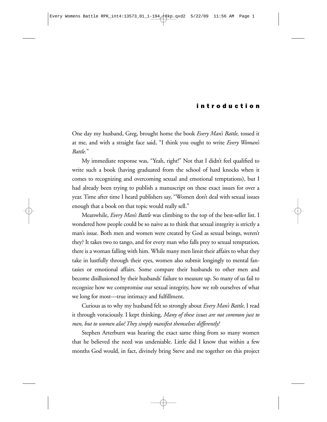#### introduction

One day my husband, Greg, brought home the book *Every Man's Battle,* tossed it at me, and with a straight face said, "I think you ought to write *Every Woman's Battle.*"

My immediate response was, "Yeah, right!" Not that I didn't feel qualified to write such a book (having graduated from the school of hard knocks when it comes to recognizing and overcoming sexual and emotional temptations), but I had already been trying to publish a manuscript on these exact issues for over a year. Time after time I heard publishers say, "Women don't deal with sexual issues enough that a book on that topic would really sell."

Meanwhile, *Every Man's Battle* was climbing to the top of the best-seller list. I wondered how people could be so naive as to think that sexual integrity is strictly a man's issue. Both men and women were created by God as sexual beings, weren't they? It takes two to tango, and for every man who falls prey to sexual temptation, there is a woman falling with him. While many men limit their affairs to what they take in lustfully through their eyes, women also submit longingly to mental fantasies or emotional affairs. Some compare their husbands to other men and become disillusioned by their husbands' failure to measure up. So many of us fail to recognize how we compromise our sexual integrity, how we rob ourselves of what we long for most—true intimacy and fulfillment.

Curious as to why my husband felt so strongly about *Every Man's Battle,* I read it through voraciously. I kept thinking, *Many of these issues are not common just to men, but to women also! They simply manifest themselves differently!*

Stephen Arterburn was hearing the exact same thing from so many women that he believed the need was undeniable. Little did I know that within a few months God would, in fact, divinely bring Steve and me together on this project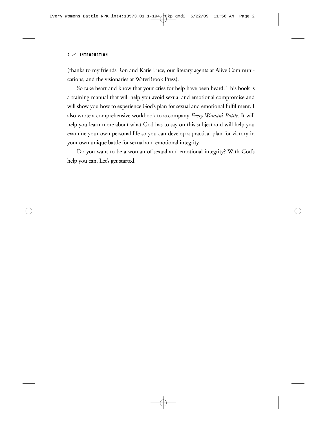#### $2 <$  INTRODUCTION

(thanks to my friends Ron and Katie Luce, our literary agents at Alive Communications, and the visionaries at WaterBrook Press).

So take heart and know that your cries for help have been heard. This book is a training manual that will help you avoid sexual and emotional compromise and will show you how to experience God's plan for sexual and emotional fulfillment. I also wrote a comprehensive workbook to accompany *Every Woman's Battle.* It will help you learn more about what God has to say on this subject and will help you examine your own personal life so you can develop a practical plan for victory in your own unique battle for sexual and emotional integrity.

Do you want to be a woman of sexual and emotional integrity? With God's help you can. Let's get started.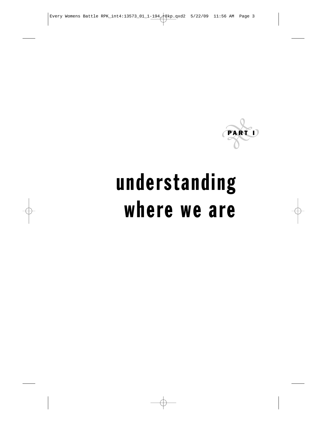

## understanding where we are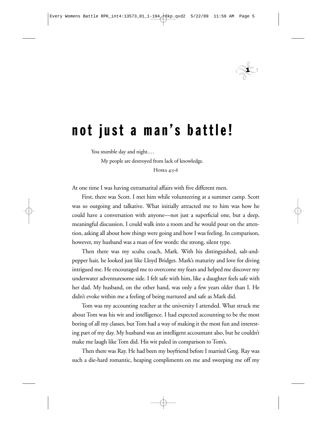

### not just a man's battle!

You stumble day and night....

My people are destroyed from lack of knowledge.

Hosea 4:5-6

At one time I was having extramarital affairs with five different men.

First, there was Scott. I met him while volunteering at a summer camp. Scott was so outgoing and talkative. What initially attracted me to him was how he could have a conversation with anyone—not just a superficial one, but a deep, meaningful discussion. I could walk into a room and he would pour on the attention, asking all about how things were going and how I was feeling. In comparison, however, my husband was a man of few words: the strong, silent type.

Then there was my scuba coach, Mark. With his distinguished, salt-and pepper hair, he looked just like Lloyd Bridges. Mark's maturity and love for diving intrigued me. He encouraged me to overcome my fears and helped me discover my underwater adventuresome side. I felt safe with him, like a daughter feels safe with her dad. My husband, on the other hand, was only a few years older than I. He didn't evoke within me a feeling of being nurtured and safe as Mark did.

Tom was my accounting teacher at the university I attended. What struck me about Tom was his wit and intelligence. I had expected accounting to be the most boring of all my classes, but Tom had a way of making it the most fun and interesting part of my day. My husband was an intelligent accountant also, but he couldn't make me laugh like Tom did. His wit paled in comparison to Tom's.

Then there was Ray. He had been my boyfriend before I married Greg. Ray was such a die-hard romantic, heaping compliments on me and sweeping me off my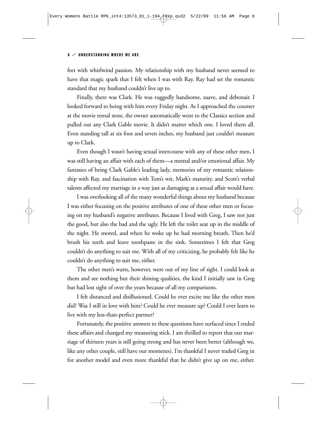feet with whirlwind passion. My relationship with my husband never seemed to have that magic spark that I felt when I was with Ray. Ray had set the romantic standard that my husband couldn't live up to.

Finally, there was Clark. He was ruggedly handsome, suave, and debonair. I looked forward to being with him every Friday night. As I approached the counter at the movie rental store, the owner automatically went to the Classics section and pulled out any Clark Gable movie. It didn't matter which one. I loved them all. Even standing tall at six foot and seven inches, my husband just couldn't measure up to Clark.

Even though I wasn't having sexual intercourse with any of these other men, I was still having an affair with each of them—a mental and/or emotional affair. My fantasies of being Clark Gable's leading lady, memories of my romantic relationship with Ray, and fascination with Tom's wit, Mark's maturity, and Scott's verbal talents affected my marriage in a way just as damaging as a sexual affair would have.

I was overlooking all of the many wonderful things about my husband because I was either focusing on the positive attributes of one of these other men or focusing on my husband's negative attributes. Because I lived with Greg, I saw not just the good, but also the bad and the ugly. He left the toilet seat up in the middle of the night. He snored, and when he woke up he had morning breath. Then he'd brush his teeth and leave toothpaste in the sink. Sometimes I felt that Greg couldn't do anything to suit me. With all of my criticizing, he probably felt like he couldn't do anything to suit me, either.

The other men's warts, however, were out of my line of sight. I could look at them and see nothing but their shining qualities, the kind I initially saw in Greg but had lost sight of over the years because of all my comparisons.

I felt distanced and disillusioned. Could he ever excite me like the other men did? Was I still in love with him? Could he ever measure up? Could I ever learn to live with my less-than-perfect partner?

Fortunately, the positive answers to these questions have surfaced since I ended these affairs and changed my measuring stick. I am thrilled to report that our marriage of thirteen years is still going strong and has never been better (although we, like any other couple, still have our moments). I'm thankful I never traded Greg in for another model and even more thankful that he didn't give up on me, either.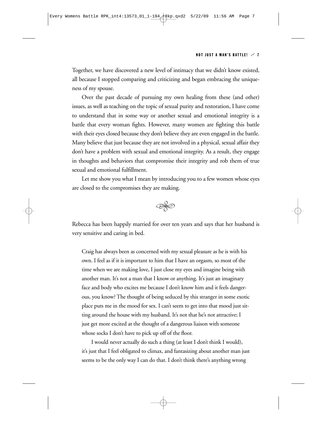Together, we have discovered a new level of intimacy that we didn't know existed, all because I stopped comparing and criticizing and began embracing the uniqueness of my spouse.

Over the past decade of pursuing my own healing from these (and other) issues, as well as teaching on the topic of sexual purity and restoration, I have come to understand that in some way or another sexual and emotional integrity is a battle that every woman fights. However, many women are fighting this battle with their eyes closed because they don't believe they are even engaged in the battle. Many believe that just because they are not involved in a physical, sexual affair they don't have a problem with sexual and emotional integrity. As a result, they engage in thoughts and behaviors that compromise their integrity and rob them of true sexual and emotional fulfillment.

Let me show you what I mean by introducing you to a few women whose eyes are closed to the compromises they are making.



Rebecca has been happily married for over ten years and says that her husband is very sensitive and caring in bed.

Craig has always been as concerned with my sexual pleasure as he is with his own. I feel as if it is important to him that I have an orgasm, so most of the time when we are making love, I just close my eyes and imagine being with another man. It's not a man that I know or anything. It's just an imaginary face and body who excites me because I don't know him and it feels dangerous, you know? The thought of being seduced by this stranger in some exotic place puts me in the mood for sex. I can't seem to get into that mood just sitting around the house with my husband. It's not that he's not attractive; I just get more excited at the thought of a dangerous liaison with someone whose socks I don't have to pick up off of the floor.

I would never actually do such a thing (at least I don't think I would), it's just that I feel obligated to climax, and fantasizing about another man just seems to be the only way I can do that. I don't think there's anything wrong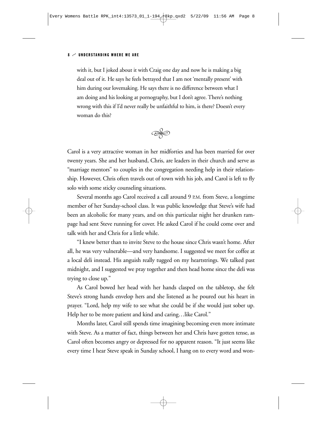with it, but I joked about it with Craig one day and now he is making a big deal out of it. He says he feels betrayed that I am not 'mentally present' with him during our lovemaking. He says there is no difference between what I am doing and his looking at pornography, but I don't agree. There's nothing wrong with this if I'd never really be unfaithful to him, is there? Doesn't every woman do this?



Carol is a very attractive woman in her midforties and has been married for over twenty years. She and her husband, Chris, are leaders in their church and serve as "marriage mentors" to couples in the congregation needing help in their relationship. However, Chris often travels out of town with his job, and Carol is left to fly solo with some sticky counseling situations.

Several months ago Carol received a call around 9 P.M. from Steve, a longtime member of her Sunday-school class. It was public knowledge that Steve's wife had been an alcoholic for many years, and on this particular night her drunken rampage had sent Steve running for cover. He asked Carol if he could come over and talk with her and Chris for a little while.

"I knew better than to invite Steve to the house since Chris wasn't home. After all, he was very vulnerable—and very handsome. I suggested we meet for coffee at a local deli instead. His anguish really tugged on my heartstrings. We talked past midnight, and I suggested we pray together and then head home since the deli was trying to close up."

As Carol bowed her head with her hands clasped on the tabletop, she felt Steve's strong hands envelop hers and she listened as he poured out his heart in prayer. "Lord, help my wife to see what she could be if she would just sober up. Help her to be more patient and kind and caring...like Carol."

Months later, Carol still spends time imagining becoming even more intimate with Steve. As a matter of fact, things between her and Chris have gotten tense, as Carol often becomes angry or depressed for no apparent reason. "It just seems like every time I hear Steve speak in Sunday school, I hang on to every word and won-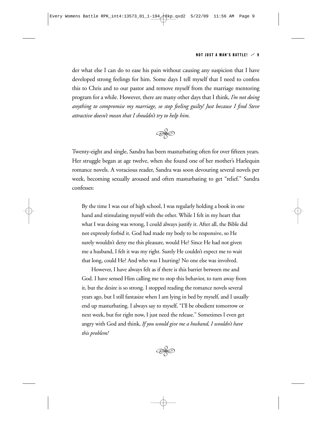der what else I can do to ease his pain without causing any suspicion that I have developed strong feelings for him. Some days I tell myself that I need to confess this to Chris and to our pastor and remove myself from the marriage mentoring program for a while. However, there are many other days that I think, *I'm not doing anything to compromise my marriage, so stop feeling guilty! Just because I find Steve attractive doesn't mean that I shouldn't try to help him.*



Twenty-eight and single, Sandra has been masturbating often for over fifteen years. Her struggle began at age twelve, when she found one of her mother's Harlequin romance novels. A voracious reader, Sandra was soon devouring several novels per week, becoming sexually aroused and often masturbating to get "relief." Sandra confesses:

By the time I was out of high school, I was regularly holding a book in one hand and stimulating myself with the other. While I felt in my heart that what I was doing was wrong, I could always justify it. After all, the Bible did not expressly forbid it. God had made my body to be responsive, so He surely wouldn't deny me this pleasure, would He? Since He had not given me a husband, I felt it was my right. Surely He couldn't expect me to wait that long, could He? And who was I hurting? No one else was involved.

However, I have always felt as if there is this barrier between me and God. I have sensed Him calling me to stop this behavior, to turn away from it, but the desire is so strong. I stopped reading the romance novels several years ago, but I still fantasize when I am lying in bed by myself, and I usually end up masturbating. I always say to myself, "I'll be obedient tomorrow or next week, but for right now, I just need the release." Sometimes I even get angry with God and think, *If you would give me a husband, I wouldn't have this problem!*

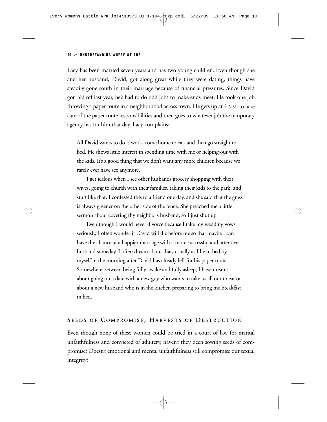Lacy has been married seven years and has two young children. Even though she and her husband, David, got along great while they were dating, things have steadily gone south in their marriage because of financial pressures. Since David got laid off last year, he's had to do odd jobs to make ends meet. He took one job throwing a paper route in a neighborhood across town. He gets up at 4 A.M. to take care of the paper route responsibilities and then goes to whatever job the temporary agency has for him that day. Lacy complains:

All David wants to do is work, come home to eat, and then go straight to bed. He shows little interest in spending time with me or helping out with the kids. It's a good thing that we don't want any more children because we rarely ever have sex anymore.

I get jealous when I see other husbands grocery shopping with their wives, going to church with their families, taking their kids to the park, and stuff like that. I confessed this to a friend one day, and she said that the grass is always greener on the other side of the fence. She preached me a little sermon about coveting thy neighbor's husband, so I just shut up.

Even though I would never divorce because I take my wedding vows seriously, I often wonder if David will die before me so that maybe I can have the chance at a happier marriage with a more successful and attentive husband someday. I often dream about that, usually as I lie in bed by myself in the morning after David has already left for his paper route. Somewhere between being fully awake and fully asleep, I have dreams about going on a date with a new guy who wants to take us all out to eat or about a new husband who is in the kitchen preparing to bring me breakfast in bed.

#### **S EEDS OF C OMPROMISE , H ARVESTS OF DESTRUCTION**

Even though none of these women could be tried in a court of law for marital unfaithfulness and convicted of adultery, haven't they been sowing seeds of compromise? Doesn't emotional and mental unfaithfulness still compromise our sexual integrity?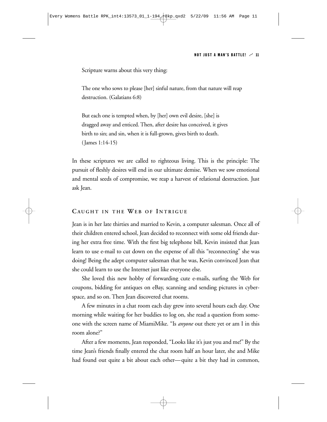Scripture warns about this very thing:

The one who sows to please [her] sinful nature, from that nature will reap destruction. (Galatians 6:8)

But each one is tempted when, by [her] own evil desire, [she] is dragged away and enticed. Then, after desire has conceived, it gives birth to sin; and sin, when it is full-grown, gives birth to death. (James 1:14-15)

In these scriptures we are called to righteous living. This is the principle: The pursuit of fleshly desires will end in our ultimate demise. When we sow emotional and mental seeds of compromise, we reap a harvest of relational destruction. Just ask Jean.

#### **CAUGHT IN THE WEB OF I NTRIGUE**

Jean is in her late thirties and married to Kevin, a computer salesman. Once all of their children entered school, Jean decided to reconnect with some old friends during her extra free time. With the first big telephone bill, Kevin insisted that Jean learn to use e-mail to cut down on the expense of all this "reconnecting" she was doing! Being the adept computer salesman that he was, Kevin convinced Jean that she could learn to use the Internet just like everyone else.

She loved this new hobby of forwarding cute e-mails, surfing the Web for coupons, bidding for antiques on eBay, scanning and sending pictures in cyberspace, and so on. Then Jean discovered chat rooms.

A few minutes in a chat room each day grew into several hours each day. One morning while waiting for her buddies to log on, she read a question from someone with the screen name of MiamiMike. "Is *anyone* out there yet or am I in this room alone?"

After a few moments, Jean responded, "Looks like it's just you and me!" By the time Jean's friends finally entered the chat room half an hour later, she and Mike had found out quite a bit about each other—quite a bit they had in common,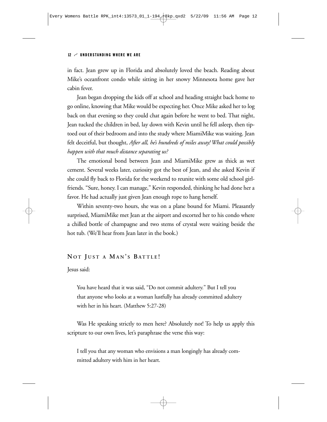in fact. Jean grew up in Florida and absolutely loved the beach. Reading about Mike's oceanfront condo while sitting in her snowy Minnesota home gave her cabin fever.

Jean began dropping the kids off at school and heading straight back home to go online, knowing that Mike would be expecting her. Once Mike asked her to log back on that evening so they could chat again before he went to bed. That night, Jean tucked the children in bed, lay down with Kevin until he fell asleep, then tiptoed out of their bedroom and into the study where MiamiMike was waiting. Jean felt deceitful, but thought, *After all, he's hundreds of miles away! What could possibly happen with that much distance separating us?*

The emotional bond between Jean and MiamiMike grew as thick as wet cement. Several weeks later, curiosity got the best of Jean, and she asked Kevin if she could fly back to Florida for the weekend to reunite with some old school girlfriends. "Sure, honey. I can manage," Kevin responded, thinking he had done her a favor. He had actually just given Jean enough rope to hang herself.

Within seventy-two hours, she was on a plane bound for Miami. Pleasantly surprised, MiamiMike met Jean at the airport and escorted her to his condo where a chilled bottle of champagne and two stems of crystal were waiting beside the hot tub. (We'll hear from Jean later in the book.)

#### **N O T J UST A MA N ' S BATTLE !**

Jesus said:

You have heard that it was said, "Do not commit adultery." But I tell you that anyone who looks at a woman lustfully has already committed adultery with her in his heart. (Matthew 5:27-28)

Was He speaking strictly to men here? Absolutely not! To help us apply this scripture to our own lives, let's paraphrase the verse this way:

I tell you that any woman who envisions a man longingly has already committed adultery with him in her heart.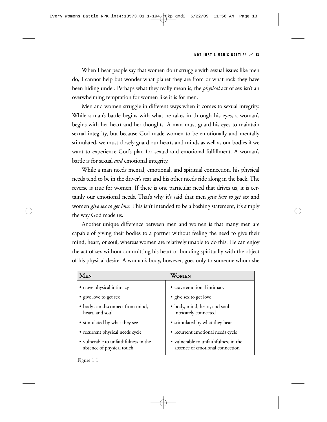When I hear people say that women don't struggle with sexual issues like men do, I cannot help but wonder what planet they are from or what rock they have been hiding under. Perhaps what they really mean is, the *physical* act of sex isn't an overwhelming temptation for women like it is for men.

Men and women struggle in different ways when it comes to sexual integrity. While a man's battle begins with what he takes in through his eyes, a woman's begins with her heart and her thoughts. A man must guard his eyes to maintain sexual integrity, but because God made women to be emotionally and mentally stimulated, we must closely guard our hearts and minds as well as our bodies if we want to experience God's plan for sexual and emotional fulfillment. A woman's battle is for sexual *and* emotional integrity.

While a man needs mental, emotional, and spiritual connection, his physical needs tend to be in the driver's seat and his other needs ride along in the back. The reverse is true for women. If there is one particular need that drives us, it is certainly our emotional needs. That's why it's said that men *give love to get sex* and women *give sex to get love.* This isn't intended to be a bashing statement, it's simply the way God made us.

Another unique difference between men and women is that many men are capable of giving their bodies to a partner without feeling the need to give their mind, heart, or soul, whereas women are relatively unable to do this. He can enjoy the act of sex without committing his heart or bonding spiritually with the object of his physical desire. A woman's body, however, goes only to someone whom she

| <b>MEN</b>                                                         | WOMEN                                                                    |
|--------------------------------------------------------------------|--------------------------------------------------------------------------|
| • crave physical intimacy                                          | • crave emotional intimacy                                               |
| • give love to get sex                                             | • give sex to get love                                                   |
| • body can disconnect from mind,<br>heart, and soul                | · body, mind, heart, and soul<br>intricately connected                   |
| • stimulated by what they see                                      | • stimulated by what they hear                                           |
| • recurrent physical needs cycle                                   | • recurrent emotional needs cycle                                        |
| • vulnerable to unfaithfulness in the<br>absence of physical touch | • vulnerable to unfaithfulness in the<br>absence of emotional connection |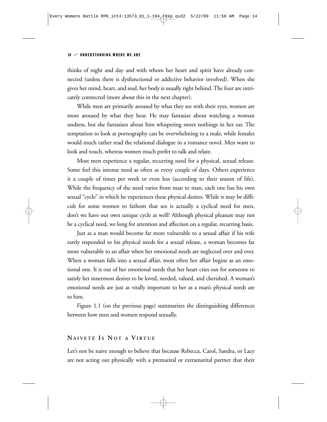thinks of night and day and with whom her heart and spirit have already connected (unless there is dysfunctional or addictive behavior involved). When she gives her mind, heart, and soul, her body is usually right behind. The four are intricately connected (more about this in the next chapter).

While men are primarily aroused by what they see with their eyes, women are more aroused by what they hear. He may fantasize about watching a woman undress, but she fantasizes about him whispering sweet nothings in her ear. The temptation to look at pornography can be overwhelming to a male, while females would much rather read the relational dialogue in a romance novel. Men want to look and touch, whereas women much prefer to talk and relate.

Most men experience a regular, recurring need for a physical, sexual release. Some feel this intense need as often as every couple of days. Others experience it a couple of times per week or even less (according to their season of life). While the frequency of the need varies from man to man, each one has his own sexual "cycle" in which he experiences these physical desires. While it may be difficult for some women to fathom that sex is actually a cyclical need for men, don't we have our own unique cycle as well? Although physical pleasure may not be a cyclical need, we long for attention and affection on a regular, recurring basis.

Just as a man would become far more vulnerable to a sexual affair if his wife rarely responded to his physical needs for a sexual release, a woman becomes far more vulnerable to an affair when her emotional needs are neglected over and over. When a woman falls into a sexual affair, most often her affair begins as an emotional one. It is out of her emotional needs that her heart cries out for someone to satisfy her innermost desires to be loved, needed, valued, and cherished. A woman's emotional needs are just as vitally important to her as a man's physical needs are to him.

Figure 1.1 (on the previous page) summarizes the distinguishing differences between how men and women respond sexually.

#### **NAIVETÉ I S N OT A VIRTUE**

Let's not be naive enough to believe that because Rebecca, Carol, Sandra, or Lacy are not acting out physically with a premarital or extramarital partner that their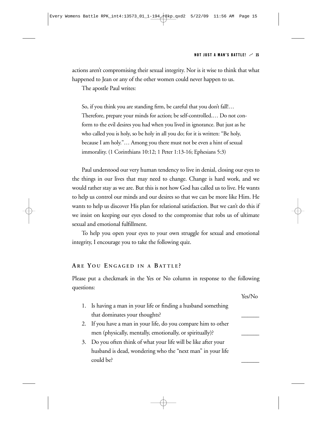actions aren't compromising their sexual integrity. Nor is it wise to think that what happened to Jean or any of the other women could never happen to us.

The apostle Paul writes:

So, if you think you are standing firm, be careful that you don't fall!… Therefore, prepare your minds for action; be self-controlled.… Do not conform to the evil desires you had when you lived in ignorance. But just as he who called you is holy, so be holy in all you do; for it is written: "Be holy, because I am holy."… Among you there must not be even a hint of sexual immorality. (1 Corinthians 10:12; 1 Peter 1:13-16; Ephesians 5:3)

Paul understood our very human tendency to live in denial, closing our eyes to the things in our lives that may need to change. Change is hard work, and we would rather stay as we are. But this is not how God has called us to live. He wants to help us control our minds and our desires so that we can be more like Him. He wants to help us discover His plan for relational satisfaction. But we can't do this if we insist on keeping our eyes closed to the compromise that robs us of ultimate sexual and emotional fulfillment.

To help you open your eyes to your own struggle for sexual and emotional integrity, I encourage you to take the following quiz.

#### **A R E Y O U E NGAGED IN A BATTLE ?**

Please put a checkmark in the Yes or No column in response to the following questions:

|                                                                 | Yes/No |
|-----------------------------------------------------------------|--------|
| 1. Is having a man in your life or finding a husband something  |        |
| that dominates your thoughts?                                   |        |
| 2. If you have a man in your life, do you compare him to other  |        |
| men (physically, mentally, emotionally, or spiritually)?        |        |
| 3. Do you often think of what your life will be like after your |        |
| husband is dead, wondering who the "next man" in your life      |        |
| could be?                                                       |        |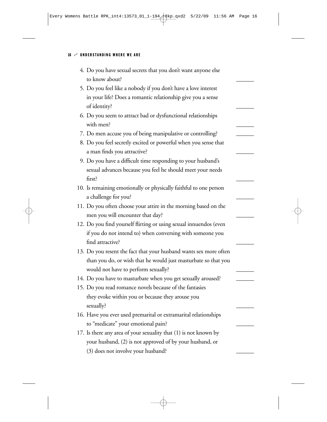| 4. Do you have sexual secrets that you don't want anyone else     |  |
|-------------------------------------------------------------------|--|
| to know about?                                                    |  |
| 5. Do you feel like a nobody if you don't have a love interest    |  |
| in your life? Does a romantic relationship give you a sense       |  |
| of identity?                                                      |  |
| 6. Do you seem to attract bad or dysfunctional relationships      |  |
| with men?                                                         |  |
| 7. Do men accuse you of being manipulative or controlling?        |  |
| 8. Do you feel secretly excited or powerful when you sense that   |  |
| a man finds you attractive?                                       |  |
| 9. Do you have a difficult time responding to your husband's      |  |
| sexual advances because you feel he should meet your needs        |  |
| first?                                                            |  |
| 10. Is remaining emotionally or physically faithful to one person |  |
| a challenge for you?                                              |  |
| 11. Do you often choose your attire in the morning based on the   |  |
| men you will encounter that day?                                  |  |
| 12. Do you find yourself flirting or using sexual innuendos (even |  |
| if you do not intend to) when conversing with someone you         |  |
| find attractive?                                                  |  |
| 13. Do you resent the fact that your husband wants sex more often |  |
| than you do, or wish that he would just masturbate so that you    |  |
| would not have to perform sexually?                               |  |
| 14. Do you have to masturbate when you get sexually aroused?      |  |
| 15. Do you read romance novels because of the fantasies           |  |
| they evoke within you or because they arouse you                  |  |
| sexually?                                                         |  |
| 16. Have you ever used premarital or extramarital relationships   |  |
| to "medicate" your emotional pain?                                |  |
| 17. Is there any area of your sexuality that (1) is not known by  |  |
| your husband, (2) is not approved of by your husband, or          |  |
| (3) does not involve your husband?                                |  |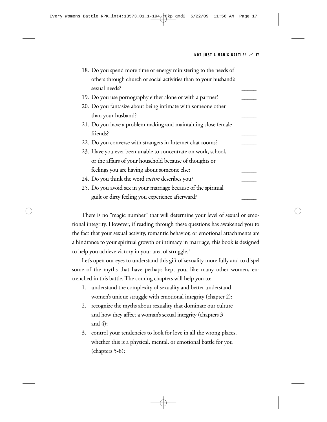| 18. Do you spend more time or energy ministering to the needs of  |  |
|-------------------------------------------------------------------|--|
| others through church or social activities than to your husband's |  |
| sexual needs?                                                     |  |
| 19. Do you use pornography either alone or with a partner?        |  |
| 20. Do you fantasize about being intimate with someone other      |  |
| than your husband?                                                |  |
| 21. Do you have a problem making and maintaining close female     |  |
| friends?                                                          |  |
| 22. Do you converse with strangers in Internet chat rooms?        |  |
| 23. Have you ever been unable to concentrate on work, school,     |  |
| or the affairs of your household because of thoughts or           |  |
| feelings you are having about someone else?                       |  |
| 24. Do you think the word <i>victim</i> describes you?            |  |
| 25. Do you avoid sex in your marriage because of the spiritual    |  |
|                                                                   |  |
| guilt or dirty feeling you experience afterward?                  |  |

There is no "magic number" that will determine your level of sexual or emotional integrity. However, if reading through these questions has awakened you to the fact that your sexual activity, romantic behavior, or emotional attachments are a hindrance to your spiritual growth or intimacy in marriage, this book is designed to help you achieve victory in your area of struggle.<sup>1</sup>

Let's open our eyes to understand this gift of sexuality more fully and to dispel some of the myths that have perhaps kept you, like many other women, entrenched in this battle. The coming chapters will help you to:

- 1. understand the complexity of sexuality and better understand women's unique struggle with emotional integrity (chapter 2);
- 2. recognize the myths about sexuality that dominate our culture and how they affect a woman's sexual integrity (chapters 3 and  $4$ );
- 3. control your tendencies to look for love in all the wrong places, whether this is a physical, mental, or emotional battle for you (chapters 5-8);